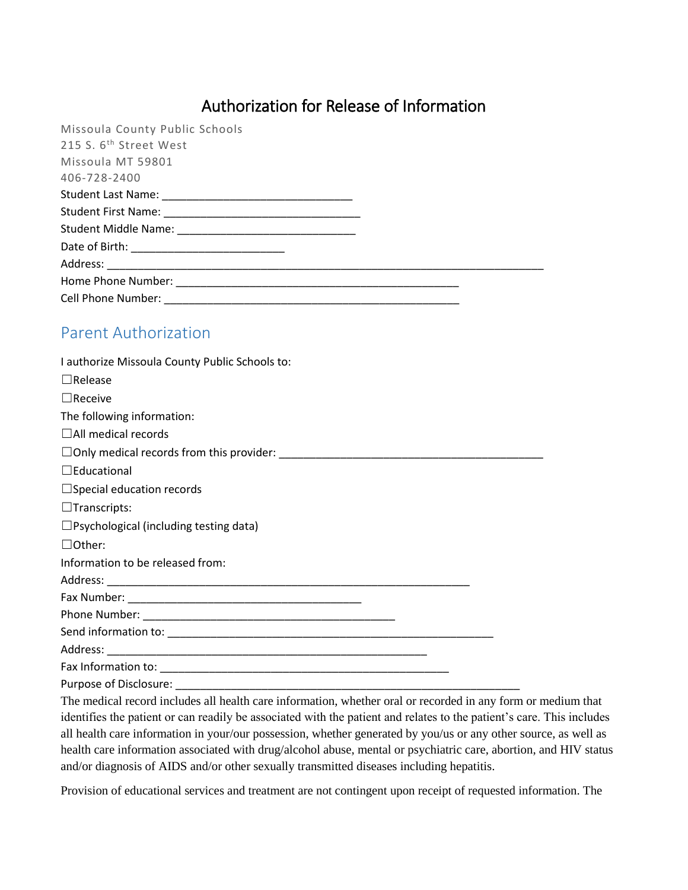## Authorization for Release of Information

| Missoula County Public Schools     |  |
|------------------------------------|--|
| 215 S. 6 <sup>th</sup> Street West |  |
| Missoula MT 59801                  |  |
| 406-728-2400                       |  |
|                                    |  |
|                                    |  |
|                                    |  |
|                                    |  |
|                                    |  |
|                                    |  |
|                                    |  |

## Parent Authorization

| I authorize Missoula County Public Schools to:                                                                        |  |
|-----------------------------------------------------------------------------------------------------------------------|--|
| $\Box$ Release                                                                                                        |  |
| $\Box$ Receive                                                                                                        |  |
| The following information:                                                                                            |  |
| $\Box$ All medical records                                                                                            |  |
|                                                                                                                       |  |
| $\Box$ Educational                                                                                                    |  |
| $\Box$ Special education records                                                                                      |  |
| $\Box$ Transcripts:                                                                                                   |  |
| $\Box$ Psychological (including testing data)                                                                         |  |
| $\Box$ Other:                                                                                                         |  |
| Information to be released from:                                                                                      |  |
|                                                                                                                       |  |
|                                                                                                                       |  |
|                                                                                                                       |  |
|                                                                                                                       |  |
|                                                                                                                       |  |
|                                                                                                                       |  |
|                                                                                                                       |  |
| The medical record includes all health care information, whether oral or recorded in any form or medium that          |  |
| identifies the patient or can readily be associated with the patient and relates to the patient's care. This includes |  |
| all health care information in your/our possession, whether generated by you/us or any other source, as well as       |  |
| health care information associated with drug/alcohol abuse, mental or psychiatric care, abortion, and HIV status      |  |

Provision of educational services and treatment are not contingent upon receipt of requested information. The

and/or diagnosis of AIDS and/or other sexually transmitted diseases including hepatitis.